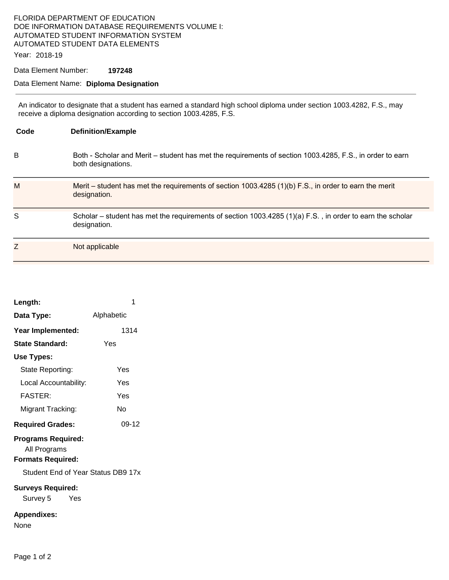## FLORIDA DEPARTMENT OF EDUCATION DOE INFORMATION DATABASE REQUIREMENTS VOLUME I: AUTOMATED STUDENT INFORMATION SYSTEM AUTOMATED STUDENT DATA ELEMENTS

Year: 2018-19

Data Element Number: **197248** 

## Data Element Name: **Diploma Designation**

An indicator to designate that a student has earned a standard high school diploma under section 1003.4282, F.S., may receive a diploma designation according to section 1003.4285, F.S.

| Code | <b>Definition/Example</b>                                                                                                      |
|------|--------------------------------------------------------------------------------------------------------------------------------|
| в    | Both - Scholar and Merit - student has met the requirements of section 1003.4285, F.S., in order to earn<br>both designations. |
| M    | Merit – student has met the requirements of section 1003.4285 (1)(b) F.S., in order to earn the merit<br>designation.          |
| S    | Scholar – student has met the requirements of section 1003.4285 (1)(a) F.S., in order to earn the scholar<br>designation.      |
| Z    | Not applicable                                                                                                                 |

| Length:                                                               | 1          |  |  |  |
|-----------------------------------------------------------------------|------------|--|--|--|
| Data Type:                                                            | Alphabetic |  |  |  |
| Year Implemented:                                                     | 1314       |  |  |  |
| <b>State Standard:</b>                                                | Yes        |  |  |  |
| Use Types:                                                            |            |  |  |  |
| State Reporting:                                                      | Yes        |  |  |  |
| Local Accountability:                                                 | Yes        |  |  |  |
| <b>FASTER:</b>                                                        | Yes        |  |  |  |
| Migrant Tracking:                                                     | N٥         |  |  |  |
| <b>Required Grades:</b>                                               | 09-12      |  |  |  |
| <b>Programs Required:</b><br>All Programs<br><b>Formats Required:</b> |            |  |  |  |
| Student End of Year Status DB9 17x                                    |            |  |  |  |
| <b>Surveys Required:</b><br>Survey 5 Yes                              |            |  |  |  |
| <b>Appendixes:</b><br>None                                            |            |  |  |  |